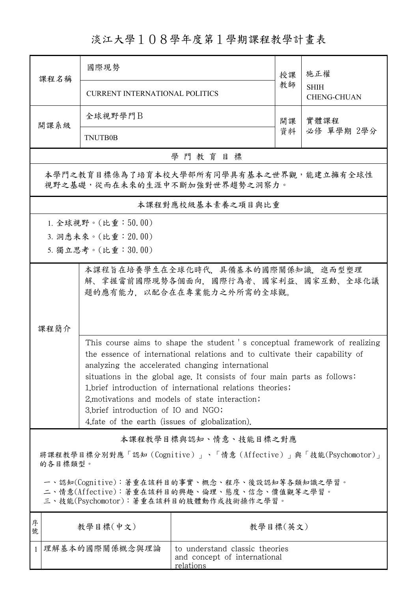## 淡江大學108學年度第1學期課程教學計畫表

| 课程名稱                                                                                                                                   | 國際現勢                                                                                                                            |                       | 授課 | 施正權<br><b>SHIH</b><br><b>CHENG-CHUAN</b> |  |  |  |
|----------------------------------------------------------------------------------------------------------------------------------------|---------------------------------------------------------------------------------------------------------------------------------|-----------------------|----|------------------------------------------|--|--|--|
|                                                                                                                                        | <b>CURRENT INTERNATIONAL POLITICS</b>                                                                                           |                       | 教師 |                                          |  |  |  |
| 開課系級                                                                                                                                   | 全球視野學門B                                                                                                                         |                       | 開課 | 實體課程                                     |  |  |  |
|                                                                                                                                        | <b>TNUTB0B</b>                                                                                                                  |                       | 資料 | 必修 單學期 2學分                               |  |  |  |
|                                                                                                                                        |                                                                                                                                 | 學門教育目標                |    |                                          |  |  |  |
| 本學門之教育目標係為了培育本校大學部所有同學具有基本之世界觀,能建立擁有全球性<br>視野之基礎,從而在未來的生涯中不斷加強對世界趨勢之洞察力。                                                               |                                                                                                                                 |                       |    |                                          |  |  |  |
|                                                                                                                                        |                                                                                                                                 | 本課程對應校級基本素養之項目與比重     |    |                                          |  |  |  |
|                                                                                                                                        | 1. 全球視野。(比重:50.00)                                                                                                              |                       |    |                                          |  |  |  |
|                                                                                                                                        | 3. 洞悉未來。(比重: 20.00)                                                                                                             |                       |    |                                          |  |  |  |
|                                                                                                                                        | 5. 獨立思考。(比重:30.00)                                                                                                              |                       |    |                                          |  |  |  |
| 本課程旨在培養學生在全球化時代,具備基本的國際關係知識,進而型塑理<br>解、掌握當前國際現勢各個面向,國際行為者、國家利益、國家互動、全球化議<br>題的應有能力,以配合在在專業能力之外所需的全球觀。                                  |                                                                                                                                 |                       |    |                                          |  |  |  |
| 課程簡介                                                                                                                                   |                                                                                                                                 |                       |    |                                          |  |  |  |
|                                                                                                                                        | This course aims to shape the student 's conceptual framework of realizing                                                      |                       |    |                                          |  |  |  |
|                                                                                                                                        | the essence of international relations and to cultivate their capability of<br>analyzing the accelerated changing international |                       |    |                                          |  |  |  |
|                                                                                                                                        | situations in the global age. It consists of four main parts as follows:                                                        |                       |    |                                          |  |  |  |
|                                                                                                                                        | 1. brief introduction of international relations theories;<br>2, motivations and models of state interaction;                   |                       |    |                                          |  |  |  |
|                                                                                                                                        | 3.brief introduction of IO and NGO;                                                                                             |                       |    |                                          |  |  |  |
|                                                                                                                                        | 4. fate of the earth (issues of globalization).                                                                                 |                       |    |                                          |  |  |  |
|                                                                                                                                        |                                                                                                                                 | 本課程教學目標與認知、情意、技能目標之對應 |    |                                          |  |  |  |
| 將課程教學目標分別對應「認知(Cognitive)」、「情意(Affective)」與「技能(Psychomotor)」<br>的各目標類型。                                                                |                                                                                                                                 |                       |    |                                          |  |  |  |
| 一、認知(Cognitive):著重在該科目的事實、概念、程序、後設認知等各類知識之學習。<br>二、情意(Affective):著重在該科目的興趣、倫理、態度、信念、價值觀等之學習。<br>三、技能(Psychomotor):著重在該科目的肢體動作或技術操作之學習。 |                                                                                                                                 |                       |    |                                          |  |  |  |
| 序<br>號                                                                                                                                 | 教學目標(中文)<br>教學目標(英文)                                                                                                            |                       |    |                                          |  |  |  |
| $\mathbf{1}$                                                                                                                           | 理解基本的國際關係概念與理論<br>to understand classic theories<br>and concept of international<br><u>relations</u>                            |                       |    |                                          |  |  |  |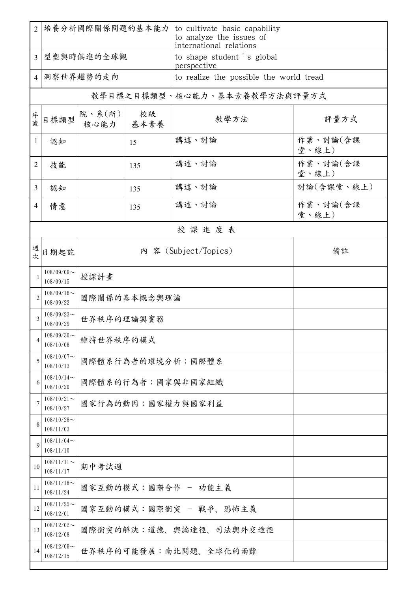| $\overline{2}$ | 培養分析國際關係問題的基本能力            |                         |            | to cultivate basic capability<br>to analyze the issues of<br>international relations |                   |  |  |  |
|----------------|----------------------------|-------------------------|------------|--------------------------------------------------------------------------------------|-------------------|--|--|--|
| $\overline{3}$ | 型塑與時俱進的全球觀                 |                         |            | to shape student 's global<br>perspective                                            |                   |  |  |  |
| 4              | 洞察世界趨勢的走向                  |                         |            | to realize the possible the world tread                                              |                   |  |  |  |
|                |                            |                         |            | 教學目標之目標類型、核心能力、基本素養教學方法與評量方式                                                         |                   |  |  |  |
| 序號             | 目標類型                       | 院、系(所)<br>核心能力          | 校級<br>基本素養 | 教學方法                                                                                 | 評量方式              |  |  |  |
| $\mathbf{1}$   | 認知                         |                         | 15         | 講述、討論                                                                                | 作業、討論(含課<br>堂、線上) |  |  |  |
| 2              | 技能                         |                         | 135        | 講述、討論                                                                                | 作業、討論(含課<br>堂、線上) |  |  |  |
| $\overline{3}$ | 認知                         |                         | 135        | 講述、討論                                                                                | 討論(含課堂、線上)        |  |  |  |
| $\overline{4}$ | 情意                         |                         | 135        | 講述、討論                                                                                | 作業、討論(含課<br>堂、線上) |  |  |  |
|                | 授課進度表                      |                         |            |                                                                                      |                   |  |  |  |
| 週次             | 日期起訖                       |                         |            | 內 容 (Subject/Topics)                                                                 | 備註                |  |  |  |
|                | $108/09/09$ ~<br>108/09/15 | 授課計畫                    |            |                                                                                      |                   |  |  |  |
| $\overline{c}$ | $108/09/16$ ~<br>108/09/22 | 國際關係的基本概念與理論            |            |                                                                                      |                   |  |  |  |
| 3              | $108/09/23$ ~<br>108/09/29 | 世界秩序的理論與實務              |            |                                                                                      |                   |  |  |  |
| 4              | $108/09/30$ ~<br>108/10/06 | 維持世界秩序的模式               |            |                                                                                      |                   |  |  |  |
| 5              | $108/10/07$ ~<br>108/10/13 | 國際體系行為者的環境分析:國際體系       |            |                                                                                      |                   |  |  |  |
| 6              | $108/10/14$ ~<br>108/10/20 | 國際體系的行為者:國家與非國家組織       |            |                                                                                      |                   |  |  |  |
| 7              | $108/10/21$ ~<br>108/10/27 | 國家行為的動因:國家權力與國家利益       |            |                                                                                      |                   |  |  |  |
| 8              | $108/10/28$ ~<br>108/11/03 |                         |            |                                                                                      |                   |  |  |  |
| 9              | $108/11/04$ ~<br>108/11/10 |                         |            |                                                                                      |                   |  |  |  |
| 10             | $108/11/11$ ~<br>108/11/17 | 期中考試週                   |            |                                                                                      |                   |  |  |  |
| 11             | $108/11/18$ ~<br>108/11/24 | 國家互動的模式:國際合作 - 功能主義     |            |                                                                                      |                   |  |  |  |
| 12             | $108/11/25$ ~<br>108/12/01 | 國家互動的模式:國際衝突 - 戰爭、恐怖主義  |            |                                                                                      |                   |  |  |  |
| 13             | $108/12/02$ ~<br>108/12/08 | 國際衝突的解決:道德、輿論途徑、司法與外交途徑 |            |                                                                                      |                   |  |  |  |
| 14             | $108/12/09$ ~<br>108/12/15 | 世界秩序的可能發展:南北問題、全球化的兩難   |            |                                                                                      |                   |  |  |  |